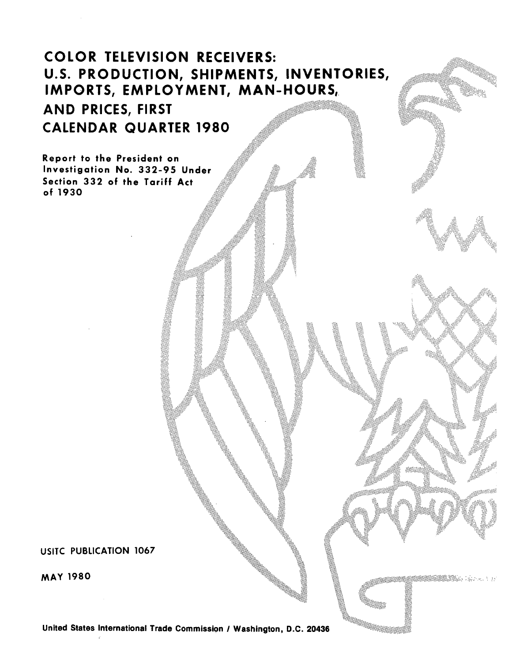# COLOR TELEVISION RECEIVERS: U.S. PRODUCTION, SHIPMENTS, INVENTORIES, IMPORTS, EMPLOYMENT, MAN-HOURS,. AND PRICES, FIRST CALENDAR QUARTER 1980

Report to the President on Investigation No. 332-95 Under Section 332 of the Tariff Act of 1930

USITC PUBLICATION 1067

MAY 1980

United States International Trade Commission / Washington, D.C. 20436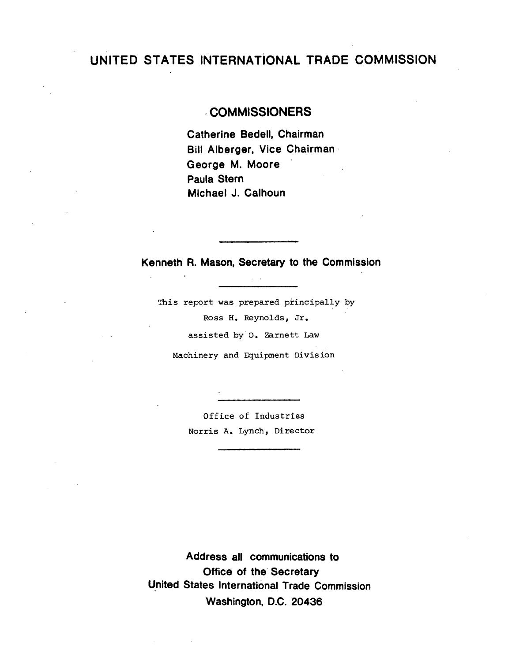## UNITED STATES INTERNATiONAL TRADE COMMISSION

## . COMMISSIONERS

Catherine Bedell, Chairman Bill Alberger, Vice Chairman· George M. Moore Paula Stern Michael J. Calhoun

Kenneth R. Mason, Secretary to the Commission

 $\Delta \sim 10^7$ 

This report was prepared principally by Ross H. Reynolds, Jr. assisted by o. Zarnett Law Machinery and Equipment Division

> Office of Industries Norris A. Lynch, Director

Address all communications to Office of the Secretary United States International Trade Commission Washington, D.C. 20436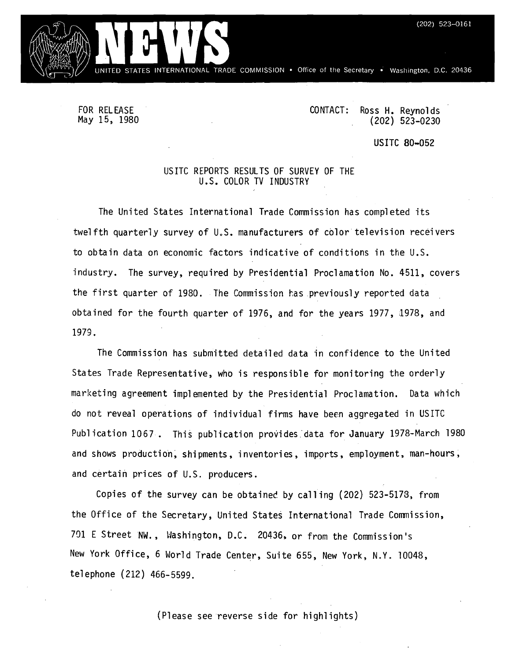INTERNATIONAL TRADE COMMISSION . Office of the Secretary . Washington, D.C. 20436

FOR RELEASE May 15, 1980 CONTACT: Ross H. Reynolds {202) 523-0230

US ITC 80-052

### USITC REPORTS RESULTS OF SURVEY OF THE U.S. COLOR TV INDUSTRY

The United States International Trade Commission has completed its twelfth quarterly survey of U.S. manufacturers of color television receivers to obtain data on economic factors indicative of conditions in the U.S. industry. The survey, required by Presidential Proclamation No. 4511, covers the first quarter of 1980. The Commission has previously reported data obtained for the fourth quarter of 1976, and for the years 1977, 1978, and 1979.

The Commission has submitted detailed data in confidence to the United States Trade Representative, who is responsible for monitoring the orderly marketing agreement implemented by the Presidential Proclamation. Data which do not reveal operations of individual firms have been aggregated in USITC Publication 1067. This publication provides data for January 1978-March 1980 and shows production, shipments, inventories, imports, employment, man-hours, and certain prices of U.S. producers.

Copies of the survey can be obtainec by calling {202) 523-5173, from the Office of the Secretary, United States International Trade Commission, 701 E Street NW., Hashington, D.C. 20436, or from the Commission's New York Office, 6 World Trade Center, Suite 655, New York, N.Y. 10048, telephone {212) 466-5599.

{Please see reverse side for highlights)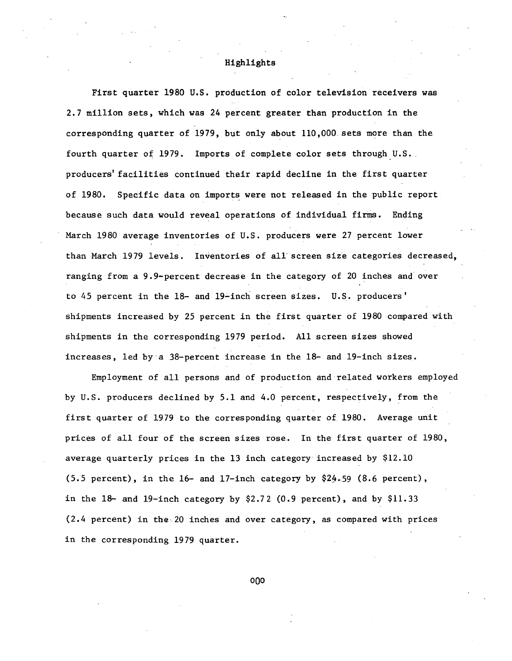#### Highlights

First quarter 1980 U.S. production of color television receivers was 2.7 million sets, which was 24 percent greater than production in the corresponding quarter of 1979, but only about 110,000. sets more than the fourth quarter of 1979. Imports of complete color sets through U.S. producers' facilities continued their rapid decline in the first quarter of 1980. Specific data on imports were not released in the public report because such data would reveal operations of individual firms. Ending March 1980 average inventories of U.S. producers were 27 percent lower than March 1979 levels. Inventories of all screen size categories decreased, ranging from a 9.9-percent decrease in the category of 20 inches and over to 45 percent in the 18- and 19-inch screen sizes. U.S. producers' shipments increased by 25 percent in the first quarter of 1980 compared with shipments in the corresponding 1979 period. All screen sizes showed increases, led by·a 38-percent increase in the 18- and 19-inch sizes.

Employment of all persons and of production and related workers employed by U.S. producers declined by 5.1 and 4.0 percent, respectively, from the first quarter of 1979 to the corresponding quarter of 1980. Average unit prices of all four of the screen sizes rose. In the first quarter of 1980, average quarterly prices in the 13 inch category increased by \$12.10 (5.5 percent), in the 16- and 17-inch category by \$24.59 (8.6 percent), in the  $18-$  and  $19$ -inch category by \$2.72 (0.9 percent), and by \$11.33 (2.4 percent) in the.20 inches and over category, as compared with prices in the corresponding 1979 quarter.

OQO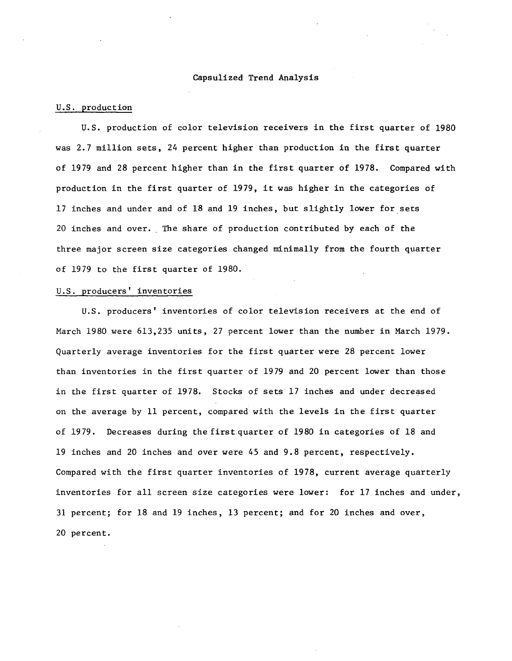#### Capsulized Trend Analysis

#### U.S. production

U.S. production of color television receivers in the first quarter of 1980 was 2.7 million sets, 24 percent higher than production in the first quarter of 1979 and 28 percent higher than in the first quarter of 1978. Compared with production in the first quarter of 1979, it was higher in the categories of 17 inches and under and of 18 and 19 inches, but slightly lower for sets 20 inches and over. The share of production contributed by each of the three major screen size categories changed minimally from the fourth quarter of 1979 to the first quarter of 1980.

#### U.S. producers' inventories

U.S. producers' inventories of color television receivers at the end of March 1980 were 613,235 units, 27 percent lower than the number in March 1979. Quarterly average inventories for the first quarter were 28 percent lower than inventories in the first quarter of 1979 and 20 percent lower than those in the first quarter of 1978. Stocks of sets 17 inches and under decreased on the average by 11 percent, compared with the levels in the first quarter of 1979. Decreases during the first quarter of 1980 in categories of 18 and 19 inches and 20 inches and over were 45 and 9.8 percent, respectively. Compared with the first quarter inventories of 1978, current average quarterly inventories for all screen size categories were lower: for 17 inches and under, 31 percent; for 18 and 19 inches, 13 percent; and for 20 inches and over, 20 percent.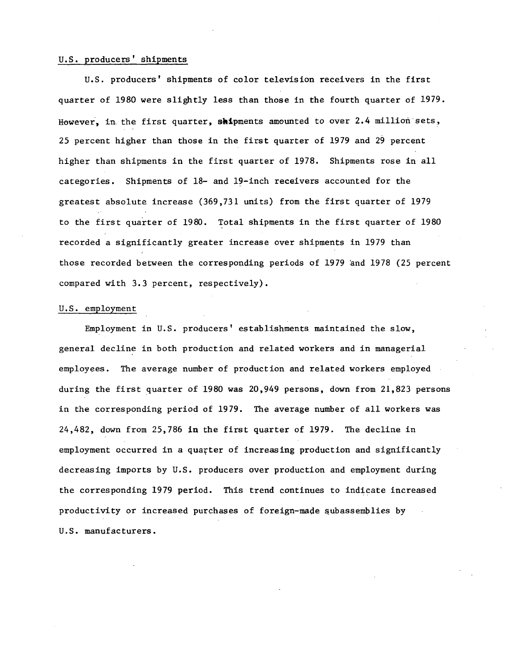#### U.S. producers' shipments

U.S. producers' shipments of color television receivers in the first quarter of 1980 were slightly less than those in the fourth quarter of 1979. However, in the first quarter, shipments amounted to over 2.4 million sets, 25 percent higher than those in the first quarter of 1979 and 29 percent higher than shipments in the first quarter of 1978. Shipments rose in all categories. Shipments of 18- and 19-inch receivers accounted for the greatest absolute increase (369,731 units) from the first quarter of 1979 to the first quarter of 1980. Total shipments in the first quarter of 1980 recorded a significantly greater increase over shipments in 1979 than those recorded between the corresponding periods of 1979 'and 1978 (25 percent compared with 3.3 percent, respectively).

#### U.S. employment

Employment in U.S. producers' establishments maintained the slow, general decline in both production and related workers and in managerial employees. The average number of production and related workers employed during the first quarter of 1980 was 20,949 persons, down from 21,823 persons in the corresponding period of 1979. The average number of all workers was 24,482, down from 25,786 in the first quarter of 1979. The decline in employment occurred in a quarter of increasing production and significantly decreasing imports by U.S. producers over production and employment during the corresponding 1979 period. This trend continues to indicate increased productivity or increased purchases of foreign-made subassemblies by U.S. manufacturers.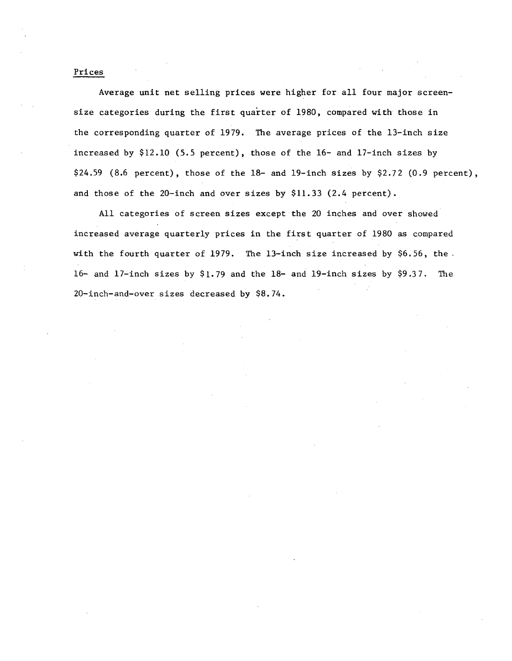#### Prices

Average unit net selling prices were higher for all four major screensize categories during the first quarter of 1980, compared with those in the corresponding quarter of 1979. The average prices of the 13-inch size increased by \$12.10 (5.5 percent), those of the 16- and 17-inch sizes by \$24.59 (8.6 percent), those of the 18- and 19-inch sizes by \$2.72 (0.9 percent), and those of the 20-inch and over sizes by \$11.33 (2.4 percent).

All categories of screen sizes except the 20 inches and over showed increased average quarterly prices in the first quarter of 1980 as compared with the fourth quarter of 1979. The 13-inch size increased by  $$6.56$ , the. 16- and 17-inch sizes by \$1.79 and the 18- and 19-inch sizes by \$9.37. The 20-inch-and-over sizes decreased by \$8.74.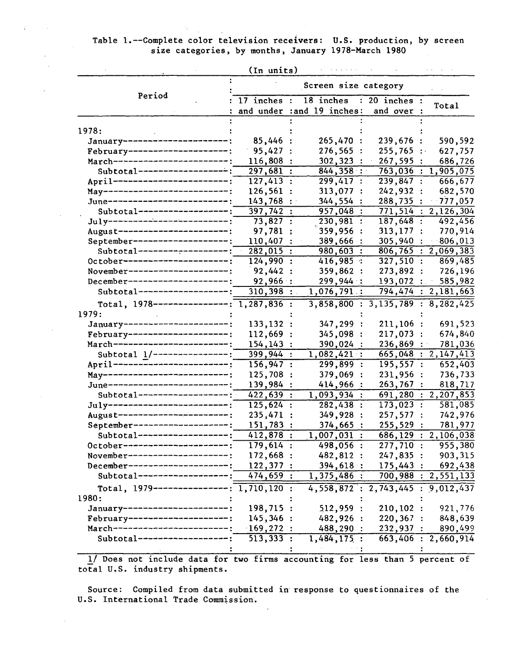## Table 1.--Complete color television receivers: U.S. production, by screen size categories, by months, January 1978-March 1980

|                                                                  | (In units)             |                            |                                   |                                  |  |  |
|------------------------------------------------------------------|------------------------|----------------------------|-----------------------------------|----------------------------------|--|--|
|                                                                  |                        | Screen size category       |                                   |                                  |  |  |
| Period                                                           | $17$ inches :          | $18$ inches                | $: 20$ inches :                   | Total                            |  |  |
|                                                                  |                        | and under : and 19 inches: | and over :                        |                                  |  |  |
| 1978:                                                            |                        |                            |                                   |                                  |  |  |
| January ----------------------                                   | 85,446                 | 265,470:                   | 239,676 :                         | 590,592                          |  |  |
| February---------------------                                    | 95,427                 | 276,565:                   | $255,765$ :                       | 627,757                          |  |  |
| March------------------------;                                   | 116,808:               | 302, 323:                  | 267,595:                          | 686,726                          |  |  |
| Subtotal--------------------                                     | 297,681:               | 844, 358:                  |                                   | 763,036 : 1,905,075              |  |  |
| April -------------------------                                  | 127,413:               | 299,417:                   | 239,847 :                         | 666,677                          |  |  |
| May--------------------------;                                   | 126,561 :              | 313,077 :                  | 242,932 :                         | 682,570                          |  |  |
| June-------------------------;                                   | 143,768:               | 344,554 :                  | 288,735:                          | $-777,057$                       |  |  |
| Subtotal-------------------;                                     | 397,742:               | 957,048 :                  |                                   | 771,514 : 2,126,304              |  |  |
| $Ju1y$ --------------------------                                | 73,827 :               | 230,981:                   | 187,648:                          | 492,456                          |  |  |
| August------------------------;                                  | 97,781                 | 359,956 :                  | $313,177$ :                       | 770,914                          |  |  |
| September--------------------;                                   | 110,407                | 389,666 :                  | 305,940 :                         | 806,013                          |  |  |
| Subtotal-------------------:                                     | $282,015$ :            | 980,603 :                  |                                   | $\overline{806,765}$ : 2,069,383 |  |  |
| 0ctober ----------------------;                                  | 124,990:               | 416,985:                   | 327,510:                          | 869,485                          |  |  |
| November----------------------:                                  | 92,442 :               | 359,862:                   | 273,892:                          | 726,196                          |  |  |
| December---------------------;                                   | 92,966:                | 299,944:                   | 193,072:                          | 585,982                          |  |  |
| Subtotal-------------------;                                     | 310,398                | 1,076,791:                 |                                   | 794,474 : 2,181,663              |  |  |
| Total, $1978$ ---------------: 1,287,836 :                       |                        |                            | 3,858,800 : 3,135,789 : 8,282,425 |                                  |  |  |
|                                                                  |                        |                            |                                   |                                  |  |  |
| 1979:<br>January ----------------------;                         |                        |                            |                                   |                                  |  |  |
|                                                                  | 133, 132:              | 347, 299:                  | 211,106:                          | 691,523                          |  |  |
| February---------------------;<br>March------------------------; | 112,669:               | 345,098 :                  | 217,073:                          | 674,840                          |  |  |
|                                                                  | 154, 143:              | 390,024 :                  | 236,869:                          | 781,036                          |  |  |
| Subtotal 1/----------------:                                     | $\overline{399,944}$ : | 1,082,421:                 |                                   | 665,048 : 2,147,413              |  |  |
| April ------ <sup>-</sup> ------------------:                    | 156,947:               | 299, 899:                  | 195,557:                          | 652,403                          |  |  |
| May--------------------------;                                   | 125,708:               | 379,069:                   | 231,956:                          | 736,733                          |  |  |
| June--------------------------;                                  | 139,984 :              | 414,966 :                  | 263,767:                          | 818,717                          |  |  |
| Subtotal-------------------                                      | 422,639 :              | 1,093,934:                 |                                   | 691,280 : 2,207,853              |  |  |
| $July$ --------------------------;                               | 125,624:               | 282,438 :                  | 173,023:                          | 581,085                          |  |  |
| August-----------------------;                                   | 235,471 :              | 349,928 :                  | 257,577:                          | 742,976                          |  |  |
| September--------------------;                                   | 151,783 :              | $374,665$ :                | 255,529:                          | 781,977                          |  |  |
| Subtotal-------------------;                                     | 412,878 :              | 1,007,031:                 |                                   | 686, 129 : 2, 106, 038           |  |  |
| 0ctober-----------------------;                                  | 179,614:               | $498,056$ :                | 277,710:                          | 955,380                          |  |  |
| November----------------                                         | 172,668 :              | 482,812 :                  | 247,835:                          | 903,315                          |  |  |
| December-------------------                                      | 122,377:               | 394,618:                   | 175,443:                          | 692,438                          |  |  |
| Subtotal---------------                                          | 474,659:               | 1,375,486:                 |                                   | $\overline{700,988}$ : 2,551,133 |  |  |
| Total, $1979$ ----------------; 1,710,120 :                      |                        |                            | 4,558,872:2,743,445:9,012,437     |                                  |  |  |
| 1980:                                                            |                        |                            |                                   |                                  |  |  |
| January----------------------;                                   | 198,715 :              | 512,959 :                  | 210, 102:                         | 921,776                          |  |  |
| February---------------------;                                   | 145,346:               | 482,926 :                  | $220, 367$ :                      | 848,639                          |  |  |
| March----------------------                                      | 169,272:               | 488,290 :                  | 232,937:                          | 890,499                          |  |  |
| Subtotal----------------                                         | 513,333:               | 1,484,175:                 |                                   | 663,406 : 2,660,914              |  |  |
|                                                                  |                        |                            |                                   |                                  |  |  |

1/ Does not include data for two firms accounting for less than 5 percent of total U.S. industry shipments.

Source: Compiled from data submitted in response to questionnaires of the U.S. International Trade Commission.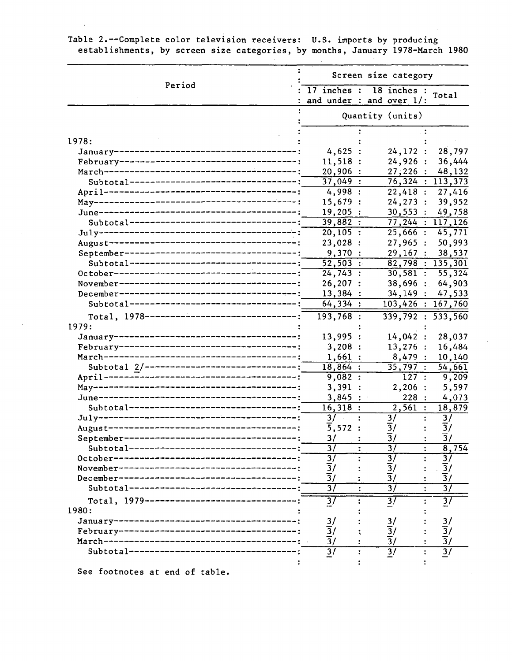|                                                          | Screen size category               |                                                       |                                        |  |  |  |
|----------------------------------------------------------|------------------------------------|-------------------------------------------------------|----------------------------------------|--|--|--|
| Period                                                   |                                    | 17 inches : 18 inches :<br>and under : and over $1$ : | Total                                  |  |  |  |
|                                                          |                                    | Quantity (units)                                      |                                        |  |  |  |
|                                                          |                                    |                                                       |                                        |  |  |  |
| 1978:                                                    |                                    |                                                       |                                        |  |  |  |
|                                                          | 4,625                              | 24, 172:                                              | 28,797                                 |  |  |  |
|                                                          | 11,518                             | 24,926:                                               | 36,444                                 |  |  |  |
|                                                          | 20,906                             | 27,226:                                               | 48,132                                 |  |  |  |
| Subtotal----------------------------------               | $37,049$ :                         | $\overline{76,324}:113,373$                           |                                        |  |  |  |
|                                                          | 4,998:                             | 22,418:                                               | 27,416                                 |  |  |  |
|                                                          | 15,679:                            | 24, 273:                                              | 39,952                                 |  |  |  |
|                                                          | $19,205$ :                         | 30,553:                                               | 49,758                                 |  |  |  |
| Subtotal----------------------------------               | 39,882:                            | 77,244:117,126                                        |                                        |  |  |  |
|                                                          | $20, 105$ :                        | 25,666:                                               | 45,771                                 |  |  |  |
|                                                          | 23,028:                            | 27,965:                                               | 50,993                                 |  |  |  |
|                                                          | 9,370:                             | 29,167:                                               | 38,537                                 |  |  |  |
|                                                          | $52,503$ :                         | $\overline{82,798}:135,301$                           |                                        |  |  |  |
|                                                          | 24,743:                            | $30, 581$ :                                           | 55,324                                 |  |  |  |
|                                                          | 26, 207:                           | $38,696$ :                                            | 64,903                                 |  |  |  |
|                                                          | 13,384:                            | 34,149:                                               | 47,533                                 |  |  |  |
| Subtotal----------------------------------               | 64,334:                            | 103,426 : 167,760                                     |                                        |  |  |  |
| Total, $1978$ ----------------------------------         | $193,768$ :                        | 339,792 : 533,560                                     |                                        |  |  |  |
| 1979:                                                    |                                    |                                                       |                                        |  |  |  |
|                                                          | 13,995                             | 14,042:                                               | 28,037                                 |  |  |  |
|                                                          | 3,208:                             | 13,276:                                               | 16,484                                 |  |  |  |
|                                                          | 1,661:                             | 8,479:                                                | 10,140                                 |  |  |  |
| Subtotal 2/-------------------------------               | 18,864:                            | $\overline{35,797}$ :                                 | 54,661                                 |  |  |  |
|                                                          | 9,082:                             | 127:                                                  | 9,209                                  |  |  |  |
|                                                          | 3,391:                             | 2,206:                                                | 5,597                                  |  |  |  |
|                                                          | 3,845:                             | 228:                                                  | 4,073                                  |  |  |  |
| Subtotal----------------------------------               | 16,318:                            | 2,561:                                                | 18,879                                 |  |  |  |
|                                                          | 3/                                 | $\overline{3}/$                                       | $\frac{3}{ }$                          |  |  |  |
|                                                          | 5,572:                             | $\overline{3}/$                                       | $\overline{\frac{3}{}}$                |  |  |  |
|                                                          |                                    |                                                       | $\overline{3}/$                        |  |  |  |
| September-<br>Subtotal---------------------------------- | 3/<br>$\overline{37}$              | $\overline{3}/$<br>$\overline{37}$                    |                                        |  |  |  |
|                                                          |                                    |                                                       | 8,754                                  |  |  |  |
|                                                          | 3/                                 | $\overline{3}$<br>$\frac{1}{3}$ /                     |                                        |  |  |  |
|                                                          | $\frac{1}{3}$ /<br>$\frac{1}{3}$ / | $\overline{3}/$                                       | $\frac{3}{3}$ $\frac{3}{3}$            |  |  |  |
|                                                          |                                    |                                                       |                                        |  |  |  |
|                                                          | $\overline{37}$                    | $\overline{37}$                                       | $\overline{37}$                        |  |  |  |
| Total, 1979--------------------------------              | $\overline{37}$                    | $\overline{3}$                                        | $\overline{37}$                        |  |  |  |
| 1980:                                                    |                                    |                                                       |                                        |  |  |  |
|                                                          |                                    |                                                       |                                        |  |  |  |
|                                                          | $\frac{3}{3}$ /                    | $\frac{3}{2}$ /                                       |                                        |  |  |  |
|                                                          | $\overline{3}/$                    | $\overline{3}/$                                       | $\frac{3}{3}/\frac{3}{3}/\frac{3}{3}/$ |  |  |  |
| Subtotal----------------------------------               | $\overline{37}$                    | $\overline{37}$                                       |                                        |  |  |  |
|                                                          |                                    |                                                       |                                        |  |  |  |

Table 2.--Complete color television receivers: U.S. imports by producing establishments, by screen size categories, by months, January 1978-March 1980

See footnotes at end of table.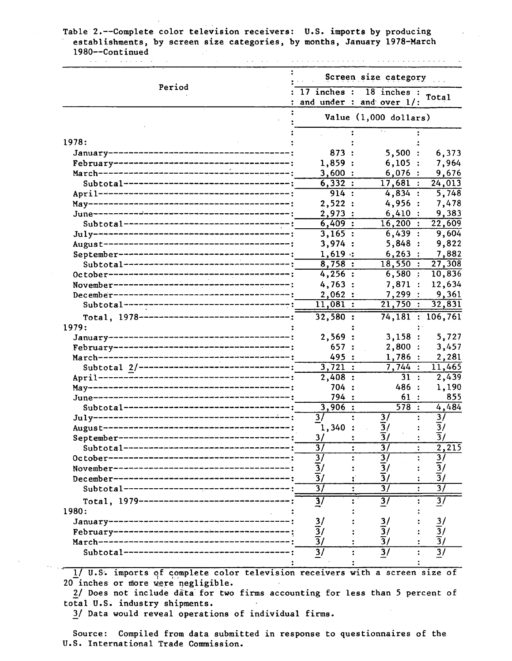#### Table 2.--Complete color television receivers: U.S. imports by producing establishments, by screen size categories, by months, January 1978-March 1980--Continued .<br>The contract of the contract of the contract of the contract of the contract of the contract of the contract of **Carl Carl Co**

| Period                                               | Screen size category                                                            |                                       |                                 |  |  |  |
|------------------------------------------------------|---------------------------------------------------------------------------------|---------------------------------------|---------------------------------|--|--|--|
|                                                      | $\overline{17}$ inches : $\overline{18}$ inches :<br>and under : and over $1$ : |                                       | Total                           |  |  |  |
|                                                      | Value (1,000 dollars)                                                           |                                       |                                 |  |  |  |
|                                                      |                                                                                 |                                       |                                 |  |  |  |
| 1978:                                                |                                                                                 |                                       |                                 |  |  |  |
| January------------                                  | 873:                                                                            | 5,500:                                | 6,373                           |  |  |  |
| February---------------------------------            | 1,859:                                                                          | 6,105:                                | 7,964                           |  |  |  |
| March----------------------------------              | 3,600:                                                                          | 6,076:                                | 9,676                           |  |  |  |
| Subtotal------------------------------               | 6,332:                                                                          | 17,681:                               | 24,013                          |  |  |  |
|                                                      | 914:                                                                            | 4,834:                                | 5,748                           |  |  |  |
|                                                      | 2,522:                                                                          | 4,956:                                | 7,478                           |  |  |  |
|                                                      | 2,973:                                                                          | 6,410:                                | 9,383                           |  |  |  |
| Subtotal------------------------------               | 6,409:                                                                          | $16,200$ :                            | 22,609                          |  |  |  |
|                                                      | 3,165:                                                                          | 6,439:                                | 9,604                           |  |  |  |
|                                                      | 3,974:                                                                          | 5,848:                                | 9,822                           |  |  |  |
|                                                      | $1,619$ :                                                                       | 6, 263:                               | 7,882                           |  |  |  |
| Subtotal--------------------------------             | 8,758:                                                                          | 18,550:                               | 27,308                          |  |  |  |
| 0ctober----------------------------------            | 4,256:                                                                          | 6,580:                                | 10,836                          |  |  |  |
| -------<br>November--------------------------------- | 4,763                                                                           | 7,871                                 | 12,634                          |  |  |  |
| December----------------------------------           | 2,062                                                                           | 7,299                                 | 9,361                           |  |  |  |
| Subtotal--------------------------------             | 11,081:                                                                         | 21,750:                               | 32,831                          |  |  |  |
| Total, 1978---------------------------------         | 32,580:                                                                         | 74,181 : 106,761                      |                                 |  |  |  |
| 1979:                                                |                                                                                 |                                       |                                 |  |  |  |
|                                                      | 2,569                                                                           | 3,158:                                | 5,727                           |  |  |  |
|                                                      | 657:                                                                            | 2,800:                                | 3,457                           |  |  |  |
|                                                      | 495 :                                                                           | 1,786:                                | 2,281                           |  |  |  |
| Subtotal 2/--------------------------------          | 3,721:                                                                          | 7,744:                                | 11,465                          |  |  |  |
|                                                      | 2,408:                                                                          | 31:                                   | 2,439                           |  |  |  |
|                                                      | 704 :                                                                           | 486 :                                 | 1,190                           |  |  |  |
|                                                      | 794 :                                                                           | 61:                                   | 855                             |  |  |  |
| Subtotal----------------------------------           | 3,906:                                                                          | 578:                                  | 4,484                           |  |  |  |
|                                                      | $\overline{37}$                                                                 | 3/                                    | $\overline{3}$                  |  |  |  |
|                                                      | 1,340:                                                                          | $\overline{3}/$                       | $\overline{3}/$                 |  |  |  |
| September--------------------------------            | 3/                                                                              | $\frac{3}{ }$                         | $\overline{3}/$                 |  |  |  |
| Subtotal--------------------------------             | $\overline{37}$                                                                 | $\overline{37}$                       | $\overline{2,215}$              |  |  |  |
| 0ctober-----------------------------------           | $\overline{\frac{3}{}}$                                                         | $\overline{3}$                        | $\overline{3}$                  |  |  |  |
| November---------------------------------            | $\frac{1}{3}$ /<br>$\frac{1}{3}$ /                                              |                                       | $\frac{1}{3}$ / $\frac{1}{3}$ / |  |  |  |
| December--------------------------------             |                                                                                 | $\frac{\overline{3}}{\overline{3}}$ / |                                 |  |  |  |
| Subtotal-----------------------------                | $\overline{37}$                                                                 | $\overline{31}$                       | $\overline{37}$                 |  |  |  |
| Total, 1979----------------------------              | $\overline{\mathbf{3}}$                                                         | $\overline{37}$                       | $\overline{3}$                  |  |  |  |
| 1980:                                                |                                                                                 |                                       |                                 |  |  |  |
| January----------------------------------            |                                                                                 |                                       |                                 |  |  |  |
|                                                      |                                                                                 | $\frac{3}{ }$                         | $\frac{3}{2}$                   |  |  |  |
| February----------------------------------           | $\frac{3}{3}$ / $\frac{3}{3}$ /                                                 | $\frac{\overline{3}}{\overline{3}}$ / | $\frac{3}{3}$ /                 |  |  |  |
|                                                      |                                                                                 |                                       |                                 |  |  |  |
| Subtotal-------------------------------              | $\overline{3/}$                                                                 | $\overline{3}/$                       | $\overline{31}$                 |  |  |  |
|                                                      |                                                                                 |                                       |                                 |  |  |  |

1/ U.S. imports of complete color television receivers with a screen size of 20 inches or more were negligible.

2/ Does not include data· for two firms accounting for less than 5 percent of total U.S. industry shipments.

3/ Data would reveal operations of individual firms.

Source: Compiled from data submitted in response to questionnaires of the U.S. International Trade Commission.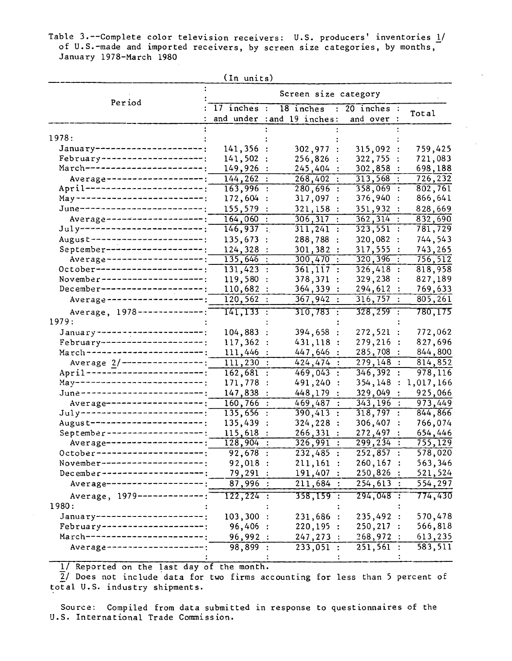Table 3.--Complete color television receivers: U.S. producers' inventories <u>1</u>/ of U.S.-made and imported receivers, by screen size categories, by months,  $\overline{\phantom{a}}$ January 1978-March 1980

|                                         | (In units)             |                                                       |                            |                                        |  |  |  |  |
|-----------------------------------------|------------------------|-------------------------------------------------------|----------------------------|----------------------------------------|--|--|--|--|
|                                         |                        | Screen size category                                  |                            |                                        |  |  |  |  |
| Period                                  | $17$ inches :          | 18 inches : 20 inches :<br>and under : and 19 inches: | and over                   | Total                                  |  |  |  |  |
| 1978:                                   |                        |                                                       |                            |                                        |  |  |  |  |
| January----------------------;          | 141,356:               |                                                       | 315,092                    | 759,425                                |  |  |  |  |
| February---------------------;          | 141,502                | 302,977<br>256,826                                    | 322,755                    | 721,083                                |  |  |  |  |
| March-----------------------;           | 149,926                | 245,404                                               | 302,858                    | 698,188                                |  |  |  |  |
| Average ---------------------;          | 144, 262:              | 268,402:                                              | 313,568                    | 726, 232                               |  |  |  |  |
| April ------------------------;         | $163,996$ :            | $280,696$ :                                           | $358,069$ :                | 802,761                                |  |  |  |  |
| May --------------------------;         | 172,604 :              | 317,097                                               | 376,940:                   | 866,641                                |  |  |  |  |
| June-------------------------;          |                        |                                                       |                            |                                        |  |  |  |  |
| Average ---------------------;          | 155,579 :              | 321,158 :                                             | 351,932                    | 828,669                                |  |  |  |  |
|                                         | 164,060:               | 306, 317                                              | 362,314                    | 832,690                                |  |  |  |  |
| July--------------------------;         | 146,937:               | 311,241:                                              | 323,551:                   | 781,729                                |  |  |  |  |
| August-----------------------;          | 135,673                | 288,788                                               | 320,082 :                  | 744,543                                |  |  |  |  |
| September--------------------;          | 124,328                | 301,382                                               | 317,555                    | 743,265                                |  |  |  |  |
| Average --------------------;           | 135,646                | 300,470                                               | 320, 396<br>$\ddot{\cdot}$ | 756,512                                |  |  |  |  |
| October----------------------;          | $131,423$ :            | 361, 117:                                             | 326,418:                   | 818,958                                |  |  |  |  |
| November---------------------;          | 119,580                | 378,371                                               | 329,238                    | 827,189                                |  |  |  |  |
| December---------------------;          | 110,682                | 364,339                                               | 294,612                    | 769,633                                |  |  |  |  |
| Average --------------------;           | 120, 562:              | 367,942:                                              | 316,757                    | 805, 261                               |  |  |  |  |
| Average, 1978---------------<br>1979:   | 141,133 :              | 310,783 :                                             | $328,259$ :                | 780,175                                |  |  |  |  |
| January -----------------------;        | 104,883                | 394,658<br>$\ddot{\cdot}$                             | 272,521:                   | 772,062                                |  |  |  |  |
| February---------------------;          | 117,362                | 431,118<br>$\ddot{\cdot}$                             | 279,216                    | 827,696                                |  |  |  |  |
| $\text{March}$ -----------------------; | 111,446                | 447,646                                               | 285,708                    | 844,800                                |  |  |  |  |
| Average 2/-----------------:            | 111, 230:              | 424,474<br>$\ddot{\cdot}$                             | 279,148                    | 814,852<br>$\ddot{\phantom{a}}$        |  |  |  |  |
| April --------------------------;       | 162,681:               | 469,043<br>$\ddot{\cdot}$                             | 346,392                    | 978,116<br>$\ddot{\cdot}$              |  |  |  |  |
| May---------------------------;         | 171,778:               | 491,240<br>$\ddot{\cdot}$                             | 354,148                    | 1,017,166<br>:                         |  |  |  |  |
| June-------------------------;          | 147,838                | 448,179 :                                             | 329,049:                   | 925,066                                |  |  |  |  |
| Average --------------------            |                        | 469,487<br>$\frac{1}{2}$<br>$\ddot{\phantom{a}}$      | 343,196                    | $\overline{973,449}$<br>$\ddot{\cdot}$ |  |  |  |  |
| $July$ --------------------------       | 160,766                |                                                       |                            | $\mathbf{r}$                           |  |  |  |  |
| August-----------------------;          | $\overline{135,656}$ : | $390,413$ :<br>324,228 :                              | 318,797                    | 844,866<br>$\ddot{\cdot}$              |  |  |  |  |
| September ---------------------;        | 135,439                | $\ddot{\cdot}$                                        | 306,407                    | 766,074                                |  |  |  |  |
| Average--------------------             | 115,618:               | 266,331:                                              | 272,497                    | 654,446                                |  |  |  |  |
| October ----------------------;         | $128,904$ :            | $326,991$ :                                           | $299, 234$ :               | 755,129                                |  |  |  |  |
|                                         | 92,678:                | 232,485:                                              | 252,857:                   | 578,020                                |  |  |  |  |
| November---------------------;          | 92,018:                | $211,161$ :                                           | 260, 167:                  | 563,346                                |  |  |  |  |
| December ----------------------         | 79,291:                | 191,407:                                              | 250,826:                   | 521,524                                |  |  |  |  |
| Average--------------------;            | 87,996:                | 211,684:                                              | $254,613$ :                | 554,297                                |  |  |  |  |
| Average, 1979--------------:            | $122, 224$ :           | 358,159 :                                             | $294,048$ :                | 774,430                                |  |  |  |  |
| 1980:                                   |                        |                                                       |                            |                                        |  |  |  |  |
| January ----------------------;         | 103,300:               | 231,686 :                                             | 235,492:                   | 570,478                                |  |  |  |  |
| February---------------------           | 96,406:                | 220, 195:                                             | $250, 217$ :               | 566,818                                |  |  |  |  |
| March------------------------           | 96,992:                | 247, 273:                                             | 268,972:                   | 613,235                                |  |  |  |  |
| Average--------------------             | 98,899:                | $233,051$ :                                           | $251,561$ :                | 583,511                                |  |  |  |  |
|                                         |                        |                                                       |                            |                                        |  |  |  |  |

1/ Reported on the last day of the month.

 $\overline{2}$ / Does not include data for two firms accounting for less than 5 percent of total U.S. industry shipments.

Source: Compiled from data submitted in response to questionnaires of the U.S. International Trade Commission.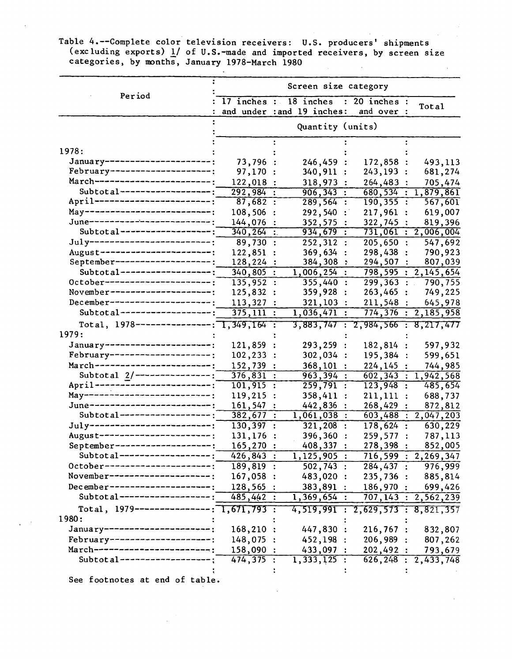Table 4.--Complete color television receivers: U.S. producers' shipments (excluding exports)  $1/$  of U.S.-made and imported receivers, by screen size categories, by months, January 1978-March 1980

|                                                                   | Screen size category |                      |                                   |                      |                                   |                      |                        |
|-------------------------------------------------------------------|----------------------|----------------------|-----------------------------------|----------------------|-----------------------------------|----------------------|------------------------|
| Period                                                            | $17$ inches :        |                      | 18 inches                         |                      | $: 20$ inches :                   |                      |                        |
|                                                                   |                      |                      | and under : and 19 inches:        |                      | and over :                        |                      | Total                  |
|                                                                   |                      |                      | Quantity (units)                  |                      |                                   |                      |                        |
|                                                                   |                      |                      |                                   |                      |                                   |                      |                        |
| 1978:<br>January----------------------                            |                      |                      |                                   |                      |                                   |                      |                        |
| February---------------------                                     | 73,796               |                      | 246,459                           |                      | 172,858 :                         |                      | 493,113                |
| March------------------------;                                    | 97,170               |                      | 340,911                           |                      | 243,193                           | $\ddot{\cdot}$       | 681,274                |
| $Subtotal-----$                                                   | 122,018              |                      | 318,973                           |                      | 264,483                           |                      | 705,474                |
| April ------------------------                                    | 292,984              |                      | 906,343                           |                      | 680,534                           | $\mathbb{R}^+$       | 1,879,861              |
|                                                                   | 87,682               | $\ddot{\cdot}$       | 289,564                           | $\ddot{\phantom{a}}$ | $\overline{190,355}$ :            |                      | 567,601                |
| May---------------------------;<br>June-------------------------; | 108,506              |                      | 292,540                           |                      | 217,961                           | $\ddot{\cdot}$       | 619,007                |
| Subtotal------------------;                                       | 144,076              |                      | 352,575                           |                      | 322,745                           |                      | 819,396                |
|                                                                   | 340, 264             |                      | 934,679                           |                      | 731,061                           | $\ddot{\bullet}$     | 2,006,004              |
| July--------------------------;                                   | 89,730 :             |                      | 252,312                           |                      | 205,650                           | $\ddot{\cdot}$       | 547,692                |
| August-----------------------;<br>September--------------------;  | 122,851              |                      | 369,634                           |                      | 298,438                           |                      | 790,923                |
|                                                                   | 128,224              |                      | 384,308                           |                      | 294,507                           |                      | 807,039                |
| Subtotal-------------------;                                      | 340,805              |                      | 1,006,254                         |                      | 798,595                           |                      | : 2,145,654            |
| October----------------------;                                    | 135,952              | $\ddot{\cdot}$       | 355,440                           |                      | $299,363$ :                       |                      | 790,755                |
| November---------------------;                                    | 125,832              |                      | 359,928                           |                      | 263,465                           | $\ddot{\phantom{a}}$ | 749,225                |
| December---------------------;                                    | 113,327              |                      | 321,103                           |                      | 211,548                           |                      | 645,978                |
| Subtotal-------------------                                       | 375, 111             |                      | $1,036,471$ :                     |                      | 774, 376:                         |                      | 2,185,958              |
| Total, 1978----------------; 1,349,164 :                          |                      |                      |                                   |                      | 3,883,747 : 2,984,566 : 8,217,477 |                      |                        |
| 1979:                                                             |                      |                      |                                   |                      |                                   |                      |                        |
| January ----------------------;                                   | 121,859              |                      | 293,259 :                         |                      | 182,814                           |                      | 597,932                |
| February---------------------:                                    | 102,233              |                      | 302,034:                          |                      | 195,384                           | $\ddot{\cdot}$       | 599,651                |
| March -----------------------;                                    | 152,739              |                      | $368, 101$ :                      |                      | 224,145                           |                      | 744,985                |
| Subtotal $2/-------------$ :                                      | 376,831              |                      | 963,394:                          |                      | 602, 343                          | ÷                    | 1,942,568              |
| April -------------------------;                                  | 101, 915             | $\ddot{\cdot}$       | $\overline{259,791}$ :            |                      | 123,948                           | $\ddot{\cdot}$       | 485,654                |
| May-------------------------;                                     | 119,215              |                      | 358,411                           |                      | $211,111$ :                       |                      | 688,737                |
| June-------------------------                                     | 161,547              |                      | 442,836                           |                      | 268,429                           |                      | 872,812                |
| $Subtotal-----$                                                   | 382,677              | $\ddot{\phantom{a}}$ | 1,061,038                         | $\ddot{\cdot}$       | 603,488                           | $\ddot{\cdot}$       | 2,047,203              |
| July-------------------------                                     | 130,397:             |                      | 321,208                           | $\ddot{\cdot}$       | 178,624:                          |                      | 630,229                |
| August----------------------;                                     | 131,176              |                      | 396,360                           |                      | 259,577                           |                      | 787,113                |
| September--------------------:                                    | 165,270              |                      | 408,337                           |                      | 278,398                           |                      | 852,005                |
| Subtotal------------------;                                       | 426,843:             |                      | 1,125,905:                        |                      |                                   |                      | 716,599 : 2,269,347    |
| 0ctober----------------------;                                    | $189, 819$ :         |                      | $502, 743$ :                      |                      |                                   |                      | 284,437 : 976,999      |
| November---------------------;                                    | 167,058:             |                      | 483,020:                          |                      |                                   |                      | 235,736 : 885,814      |
| December--------------------;                                     | 128,565:             |                      | 383,891:                          |                      |                                   |                      | 186,970: 699,426       |
| Subtotal------------------;                                       | 485,442:             |                      | 1,369,654:                        |                      |                                   |                      | 707, 143 : 2, 562, 239 |
| Total, $1979$ ----------------; 1,671,793 :                       |                      |                      | 4,519,991 : 2,629,573 : 8,821,357 |                      |                                   |                      |                        |
| 1980:                                                             |                      |                      |                                   |                      |                                   |                      |                        |
| January----------------------:                                    | $168,210$ :          |                      | 447,830 :                         |                      | 216,767:                          |                      |                        |
| February---------------------:                                    | 148,075:             |                      |                                   |                      |                                   |                      | 832,807                |
| March-----------------------;                                     |                      |                      | 452,198:                          |                      | 206,989:                          |                      | 807,262                |
| Subtotal------------------;                                       | 158,090:             |                      | 433,097:                          |                      | 202,492:                          |                      | 793,679                |
|                                                                   | 474,375:             |                      | 1,333,125:                        |                      |                                   |                      | 626, 248 : 2, 433, 748 |

See footnotes at end of table.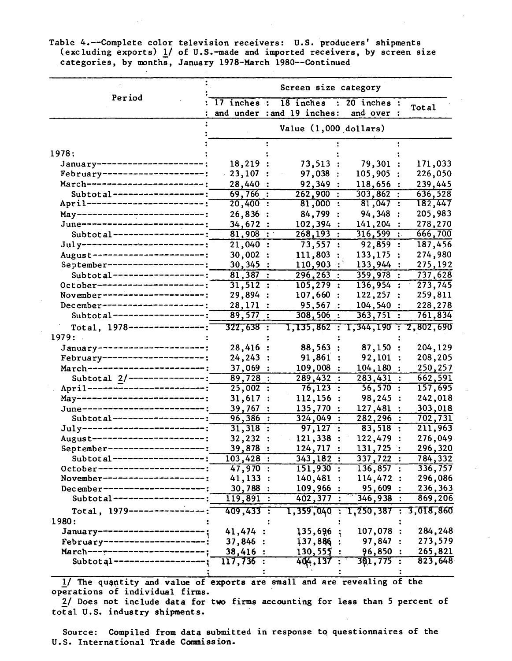Table 4.--Complete color television receivers: U.S. producers' shipments (excluding exports)  $1/$  of U.S.-made and imported receivers, by screen size categories, by months, January 1978-March 1980--Continued

|                                 | Screen size category        |                                         |                               |                      |  |  |  |
|---------------------------------|-----------------------------|-----------------------------------------|-------------------------------|----------------------|--|--|--|
| Period                          | $17$ inches :               | 18 inches<br>and under : and 19 inches: | $: 20$ inches :<br>and over : | Total                |  |  |  |
|                                 |                             | Value $(1,000$ dollars)                 |                               |                      |  |  |  |
| 1978:                           |                             |                                         |                               |                      |  |  |  |
| January--------------------     | 18,219                      | 73,513                                  | 79,301                        | 171,033              |  |  |  |
| February---------------------   | $-23,107$                   | 97,038                                  | 105,905                       | 226,050              |  |  |  |
| March------------------------   | 28,440 :                    | 92,349                                  | 118,656                       | 239,445              |  |  |  |
| Subtotal-------------------:    | 69,766:                     | $262,900$ :                             | 303,862                       | 636,528              |  |  |  |
| April ------------------------  | $20,400$ :                  | $81,000$ :                              | 81,047:                       | 182,447              |  |  |  |
| May---------------------------  | 26,836 :                    | 84,799                                  | 94,348                        | 205,983              |  |  |  |
| June--------------------------  | 34,672                      | 102,394                                 | 141,204                       | 278,270              |  |  |  |
| Subtotal-------------------;    | 81,908<br>$\sim$ 100 $\sim$ | $268, 193$ :                            | 316,599                       | 666,700              |  |  |  |
| July--------------------------  | 21,040:                     | 73,557:                                 | 92,859:                       | 187,456              |  |  |  |
| August-----------------------;  | 30,002                      | 111,803<br>$\bullet$                    | 133,175<br>$\mathbf{r}$       | 274,980              |  |  |  |
| September-------------------:   | 30,345                      | 110,903                                 | 133,944 :                     | 275,192              |  |  |  |
| Subtotal-------------------:    | 81,387:                     | $\overline{296,263}$ :                  | 359,978:                      | 737,628              |  |  |  |
| October-----------------------  | 31,512:                     | 105, 279:                               | 136,954:                      | 273,745              |  |  |  |
| November---------------------   | 29,894 :                    | 107,660:                                | 122, 257:                     | 259,811              |  |  |  |
| December---------------------;  | 28,171:                     | 95,567:                                 | 104,540:                      | 228,278              |  |  |  |
| Subtotal -------------------:   | 89,577:                     | $308,506$ :                             | 363,751:                      | 761,834              |  |  |  |
| Total, $1978$ ----------------- | 322,638 :                   |                                         | 1,135,862:1,344,190:2,802,690 |                      |  |  |  |
| 1979:                           |                             |                                         |                               |                      |  |  |  |
| January-----------------------  | 28,416                      | 88,563                                  | 87,150:                       | 204,129              |  |  |  |
| February---------------------;  | 24,243                      | 91,861                                  | 92,101                        | 208,205              |  |  |  |
| March-----------------------;   | 37,069                      | 109,008                                 | 104,180                       | 250,257              |  |  |  |
| Subtotal $2/$ ---------------;  | 89,728 :                    | 289,432:                                | 283,431 :                     | 662,591              |  |  |  |
| April------------------------;  | 25,002:                     | $76, 123$ :                             | 56,570:                       | 157,695              |  |  |  |
| May---------------------------: | 31,617                      | 112,156                                 | 98,245                        | 242,018              |  |  |  |
| June--------------------------  | 39,767                      | 135,770                                 | 127,481                       |                      |  |  |  |
| Subtotal-------------------;    | 96,386:                     | 324,049<br>$\ddot{\cdot}$               | 282, 296:                     | 303,018<br>702, 731  |  |  |  |
| July--------------------------  | $31,318$ :                  | 97,127:                                 | $83,518$ :                    | 211,963              |  |  |  |
| August-----------------------;  | 32,232                      | 121,338                                 | 122,479                       | 276,049              |  |  |  |
| September --------------------  | 39,878                      | 124,717                                 | 131,725                       | 296,320              |  |  |  |
| Subtotal------------------      | 103,428:                    | 343, 182:                               | 337,722:                      | 784,332              |  |  |  |
| -----------------<br>October-   | 47,970                      | $151,930$ :                             | 136,857:                      | $3\overline{36,757}$ |  |  |  |
| November------------------      | 41,133                      | 140,481                                 | 114,472:                      | 296,086              |  |  |  |
| December -----------------      | 30,788                      | 109,966                                 | 95,609                        | 236,363              |  |  |  |
| Subtotal--------                | 119,891                     | 402,377 :                               | 346,938:                      | 869,206              |  |  |  |
|                                 |                             |                                         |                               |                      |  |  |  |
| Total, $1979$ ------------      | 409,433 :                   | 1,359,040 :                             | $T, 250, 387$ :               | 3,018,860            |  |  |  |
| 1980:                           |                             |                                         |                               |                      |  |  |  |
| January--------------------     | 41,474 :                    | 135,696                                 | 107,078 :                     | 284,248              |  |  |  |
| February---------------------;  | 37,846:                     | 137,886                                 | 97,847:                       | 273,579              |  |  |  |
| March--------------------       | 38,416:                     | 130,555                                 | 96,850                        | 265,821              |  |  |  |
| $Subtotal$ -------------        | $117,736$ :                 | 404,137                                 | $301, 775$ :                  | 823,648              |  |  |  |
|                                 |                             |                                         |                               |                      |  |  |  |

1/ The quantity and value of exports are small and are revealing of the operations of individual firms.

2/ Does not include data for two firms accounting for less than 5 percent of total U.S. industry shipments.

Source: Compiled from data submitted in response to questionnaires of the U.S. International Trade Conmission.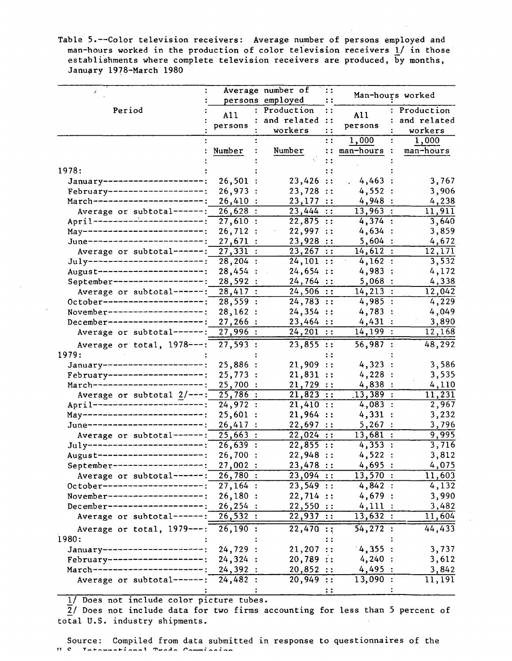Table 5.--Color television receivers: Average number of persons employed and man-hours worked in the production of color television receivers 1/ in those establishments where complete television receivers are produced, by months, January 1978-March 1980

|                                            |                       | Average number of | $\mathbf{1}$  |                       | Man-hours worked |
|--------------------------------------------|-----------------------|-------------------|---------------|-----------------------|------------------|
|                                            |                       | persons employed  |               |                       |                  |
| Period                                     | A11                   | : Production      | $\ddotsc$     | A11                   | : Production     |
|                                            | persons               | and related ::    |               | persons               | and related      |
|                                            |                       | workers           | $\mathbf{H}$  |                       | workers          |
|                                            |                       |                   | $\mathbf{::}$ | 1,000                 | 1,000            |
|                                            | Number                | Number            | $\vdots$      | man-hours             | man-hours        |
|                                            |                       |                   | $\vdots$      |                       |                  |
| 1978:                                      |                       |                   | : :           |                       |                  |
| January---------------------:              | 26,501:               | 23,426 ::         |               | 4,463:                | 3,767            |
| February--------------------;              | 26,973:               | 23,728 ::         |               | 4,552:                | 3,906            |
| March-----------------------;              | 26,410:               | 23,177 ::         |               | 4,948:                | 4,238            |
| Average or subtotal-------:                | 26,628:               | $23,444$ ::       |               | 13,963:               | 11,911           |
| April -----------------------;             | 27,610:               | 22,875 ::         |               | 4,374:                | 3,640            |
| May--------------------------;             | 26,712:               | 22,997 ::         |               | 4,634:                | 3,859            |
| June-------------------------              | 27,671:               | 23,928 ::         |               | 5,604:                | 4,672            |
| Average or subtotal------:                 | 27,331:               | 23,267 ::         |               | 14,612:               | 12,171           |
| July------------------------;              | $\overline{28,204}$ : | 24, 101 ::        |               | 4,162:                | 3,532            |
| August----------------------;              | 28,454 :              | 24,654 ::         |               | 4,983:                | 4,172            |
| September-------------------:              | 28,592:               | 24,764 ::         |               | 5,068:                | 4,338            |
| Average or subtotal------:                 | 28,417:               | 24,506 ::         |               | $14,213$ :            | 12,042           |
| 0ctober---------------------;              | 28,559:               | 24,783 ::         |               | 4,985:                | 4,229            |
| November--------------------;              | 28, 162:              | 24,354 ::         |               | 4,783:                | 4,049            |
| December--------------------;              | 27,266:               | 23,464 ::         |               | 4,431:                | 3,890            |
| Average or subtotal------:                 | 27,996:               | 24, 201 ::        |               | 14, 199:              | 12,168           |
| Average or total, 1978---:                 | $\overline{27,593}:$  | 23,855 ::         |               | $\overline{56,987}$ : | 48, 292          |
| 1979:                                      |                       |                   |               |                       |                  |
| January ----------------------:            | 25,886:               | 21,909 ::         |               | 4,323:                | 3,586            |
| February--------------------:              | 25,773:               | 21,831 ::         |               | 4,228:                | 3,535            |
| March-----------------------;              | 25,700 :              | 21,729 ::         |               | 4,838:                | 4,110            |
| Average or subtotal $2/---$ :              | $\overline{25,786}$ : | 21,823 ::         |               | .13,389:              | 11,231           |
| April------------------ <sup>-</sup> ----; | 24,972:               | 21,410 ::         |               | 4,083:                | 2,967            |
| May-------------------------;              | 25,601:               | 21,964 ::         |               | 4,331:                | 3,232            |
| June------------------------;              | 26,417:               | 22,697 ::         |               | 5,267:                | 3,796            |
| Average or subtotal------:                 | 25,663:               | 22,024 ::         |               | 13,681:               | 9,995            |
| July-------------------------;             | 26,639:               | 22,855 ::         |               | 4,353:                | 3,716            |
| August----------------------:              | 26,700:               | 22,948 ::         |               | 4,522:                | 3,812            |
| September------------------:               | 27,002:               | 23,478 ::         |               | 4,695:                | 4,075            |
| Average or subtotal------:                 | 26,780:               | $23,094$ ::       |               | 13,570:               | 11,603           |
| October--------------------                | 27,164:               | 23,549 ::         |               | 4,842:                | 4,132            |
| November-------------------                | 26,180:               | 22,714 ::         |               | 4,679:                | 3,990            |
| $December---------$                        | 26, 254:              | 22,550 ::         |               | 4,111:                | 3,482            |
| Average or subtotal------:                 | 26,532:               | 22,937 ::         |               | 13,632:               | 11,604           |
|                                            |                       |                   |               |                       |                  |
| Average or total, 1979---:                 | 26, 190:              | 22,470:           |               | 54,272:               | 44,433           |
| 1980:                                      |                       |                   | : :           |                       |                  |
| January ---------------------;             | 24,729:               | 21,207 ::         |               | 4,355:                | 3,737            |
| February------------------                 | 24,324:               | 20,789:           |               | 4,240:                | 3,612            |
| March--------------------                  | 24,392 :              | 20,852 ::         |               | 4,495:                | 3,842            |
| Average or subtotal------:                 | 24,482:               | 20,949 ::         |               | 13,090:               | 11,191           |
|                                            |                       |                   |               |                       |                  |

1/ Does not include color picture tubes.

 $\overline{2}$ / Does not include data for two firms accounting for less than 5 percent of total U.S. industry shipments.

Source: Compiled from data submitted in response to questionnaires of the<br>ILS International Trade Commission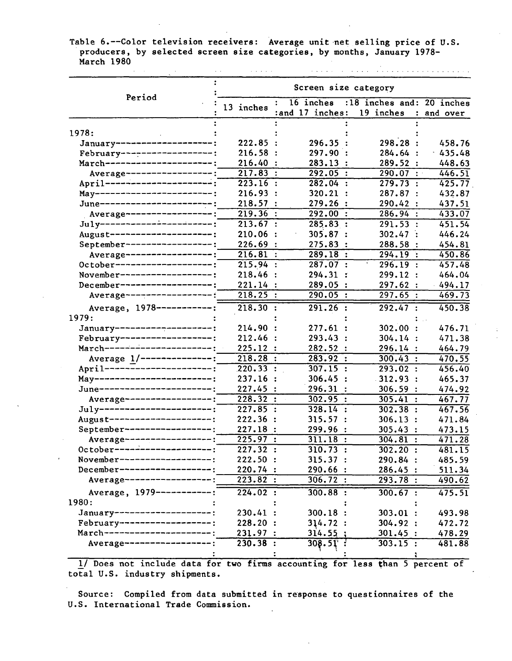Table 6.--Color television receivers: Average unit net selling price of U.S. producers, by selected screen size categories, by months, January 1978- March 1980  $\mathcal{L}^{\mathcal{L}}$  . The contract of the set of the set of the set of the set of  $\mathcal{L}^{\mathcal{L}}$ 

المتماس والمستقيم والمتمام والمتمام والمتأمل المتمام والمتمام والمتمام والمتمام

|                                | Screen size category  |                           |                             |           |  |  |  |
|--------------------------------|-----------------------|---------------------------|-----------------------------|-----------|--|--|--|
| Period                         |                       | 16 inches<br>$\mathbf{r}$ | :18 inches and: 20 inches   |           |  |  |  |
|                                | 13 inches             | :and 17 inches:           | 19 inches<br>$\ddot{\cdot}$ | and over  |  |  |  |
|                                |                       |                           |                             |           |  |  |  |
| 1978:                          |                       |                           |                             |           |  |  |  |
| January---------------------   | 222.85                | 296.35                    | 298.28 :                    | 458.76    |  |  |  |
| February-------------------:   | 216.58                | 297.90:                   | 284.64 :                    | 435.48    |  |  |  |
| March----------------------;   | 216.40                | 283.13:                   | 289.52:                     | 448.63    |  |  |  |
| Average -----------------;     | 217.83                | 292.05:                   | 290.07 :                    | 446.51    |  |  |  |
| April ------------------------ | 223.16                | 282.04:<br>$\mathbf{r}$   | 279.73:                     | 425.77    |  |  |  |
| May------------------------;   | 216.93                | 320.21:<br>$\ddot{\cdot}$ | 287.87:                     | 432.87    |  |  |  |
| June-----------------------;   | 218.57                | 279.26                    | 290.42<br>$\ddot{\cdot}$    | 437.51    |  |  |  |
| Average ------------------;    | 219.36                | 292.00:<br>$\cdot$ :      | 286.94:                     | 433.07    |  |  |  |
| July-----------------------;   | 213.67:               | 285.83:                   | 291.53:                     | 451.54    |  |  |  |
| August---------------------:   | 210.06                | 305.87:                   | 302.47:                     | 446.24    |  |  |  |
| September ------------------;  | 226.69                | 275.83                    | 288.58                      | 454.81    |  |  |  |
| Average ------------------;    | 216.81                | 289.18                    | 294.19:                     | 450.86    |  |  |  |
| October--------------------:   | 215.94                | 287.07:                   | $\mathbf{t}$<br>296.19:     | 457.48    |  |  |  |
| November --------------------  | 218.46                | 294.31                    | 299.12 :                    | 464.04    |  |  |  |
| December-------------------:   | 221.14:               | 289.05                    | 297.62 :                    | $-494.17$ |  |  |  |
| Average -------------------    | $218.25$ :            | 290.05:                   | 297.65:                     | 469.73    |  |  |  |
| Average, 1978 ------------:    | 218.30:               | 291.26:                   | 292.47:                     | 450.38    |  |  |  |
| 1979:                          |                       |                           |                             |           |  |  |  |
| January--------------------;   | 214.90                | 277.61                    | 302.00                      | 476.71    |  |  |  |
| February-------------------:   | 212.46 :              | 293.43                    | 304.14:                     | 471.38    |  |  |  |
| March---------------------;    | 225.12:               | 282.52 :                  | 296.14:                     | 464.79    |  |  |  |
| Average 1/--------------:      | $218.28$ :            | 283.92:                   | 300.43 :                    | 470.55    |  |  |  |
| April----------------------;   | 220.33:               | 307.15:                   | 293.02:                     | 456.40    |  |  |  |
| May-------------------------;  | 237.16                | 306.45:                   | $-312.93:$                  | 465.37    |  |  |  |
| June-----------------------;   | 227.45:               | 296.31                    | 306.59:                     | 474.92    |  |  |  |
| Average-------------------     | 228.32                | 302.95:<br>$\cdot$ :      | 305.41<br>$\cdot$ :         | 467.77    |  |  |  |
| $July$ ----------------------; | 227.85:               | 328.14:                   | 302.38:                     | 467.56    |  |  |  |
| August---------------------;   | 222.36 :              | 315.57:                   | 306.13:                     | 471.84    |  |  |  |
| September------------------:   | 227.18:               | 299.96                    |                             |           |  |  |  |
| Average -------------------    | 225.97:               | 311.18:                   | 305.43:                     | 473.15    |  |  |  |
| 0ctober---------------------   |                       |                           | 304.81:                     | 471.28    |  |  |  |
| November-------------------:   | $\overline{227.32}$ : | 310.73 :                  | $302.20$ :                  | 481.15    |  |  |  |
|                                | 222.50:               | 315.37:                   | 290.84:                     | 485.59    |  |  |  |
| December--------------------:  | 220.74:               | 290.66:                   | 286.45:                     | 511.34    |  |  |  |
| Average ------------------:    | 223.82:               | 306.72:                   | 293.78:                     | 490.62    |  |  |  |
| Average, 1979------------:     | 224.02:               | 300.88:                   | 300.67 :                    | 475.51    |  |  |  |
| 1980:                          |                       |                           |                             |           |  |  |  |
| January---------------------   | 230.41:               | 300.18:                   | 303.01:                     | 493.98    |  |  |  |
| February--------------------   | 228.20:               | 314.72:                   | 304.92 :                    | 472.72    |  |  |  |
| March----------------------:   | 231.97:               | 314.55:                   | 301.45:                     | 478.29    |  |  |  |
| Average -------------------    | 230.38:               | $308.51$ :                | 303.15:                     | 481.88    |  |  |  |
|                                |                       |                           |                             |           |  |  |  |

1/ Does not include data for two firms accounting for less than 5 percent of total U.S. industry shipments.

Source: Compiled from data submitted in response to questionnaires of the U.S. International Trade Commission.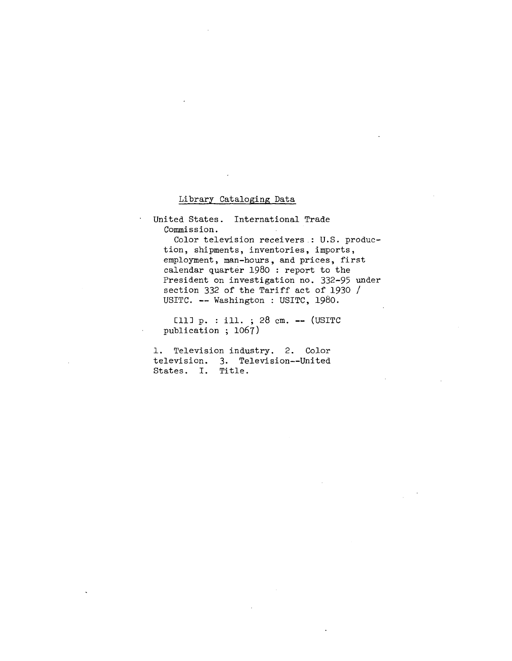#### Library Cataloging Data

United States. International Trade Commission.

Color television receivers.: U.S. production, shipments, inventories, imports, employment, man-hours, and prices, first calendar quarter 1980 : report to the President on investigation no. 332-95 under section 332 of the Tariff act of 1930 / USITC. -- Washington : USITC, 1980.

Cll]  $p. : i11. ; 28 cm. -- (USTTC)$ publication ; 1067)

1. Television industry. 2. Color television. 3. Television--United States. I. Title.